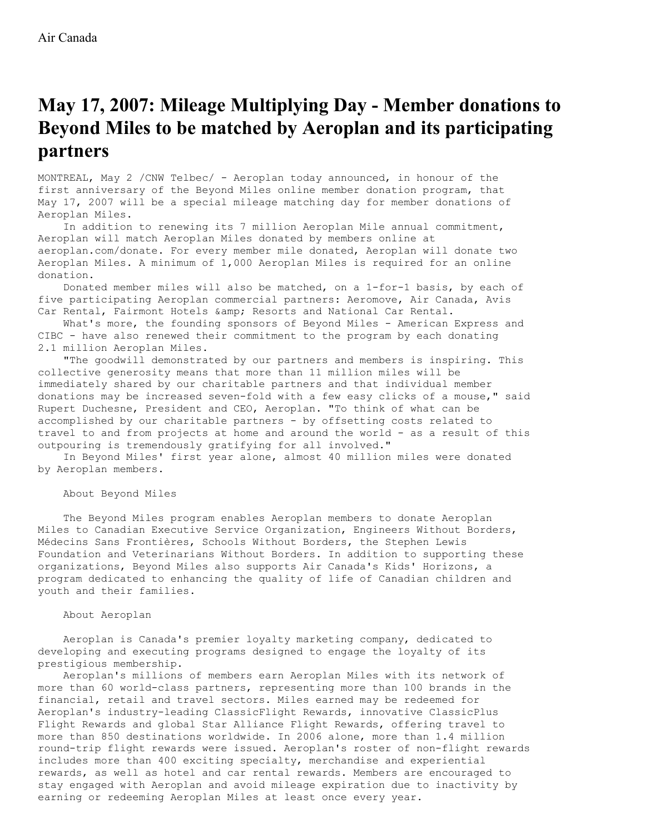## **May 17, 2007: Mileage Multiplying Day - Member donations to Beyond Miles to be matched by Aeroplan and its participating partners**

MONTREAL, May 2 /CNW Telbec/ - Aeroplan today announced, in honour of the first anniversary of the Beyond Miles online member donation program, that May 17, 2007 will be a special mileage matching day for member donations of Aeroplan Miles.

In addition to renewing its 7 million Aeroplan Mile annual commitment, Aeroplan will match Aeroplan Miles donated by members online at aeroplan.com/donate. For every member mile donated, Aeroplan will donate two Aeroplan Miles. A minimum of 1,000 Aeroplan Miles is required for an online donation.

Donated member miles will also be matched, on a 1-for-1 basis, by each of five participating Aeroplan commercial partners: Aeromove, Air Canada, Avis Car Rental, Fairmont Hotels & amp; Resorts and National Car Rental.

What's more, the founding sponsors of Beyond Miles - American Express and CIBC - have also renewed their commitment to the program by each donating 2.1 million Aeroplan Miles.

"The goodwill demonstrated by our partners and members is inspiring. This collective generosity means that more than 11 million miles will be immediately shared by our charitable partners and that individual member donations may be increased seven-fold with a few easy clicks of a mouse," said Rupert Duchesne, President and CEO, Aeroplan. "To think of what can be accomplished by our charitable partners - by offsetting costs related to travel to and from projects at home and around the world - as a result of this outpouring is tremendously gratifying for all involved."

In Beyond Miles' first year alone, almost 40 million miles were donated by Aeroplan members.

About Beyond Miles

The Beyond Miles program enables Aeroplan members to donate Aeroplan Miles to Canadian Executive Service Organization, Engineers Without Borders, Médecins Sans Frontières, Schools Without Borders, the Stephen Lewis Foundation and Veterinarians Without Borders. In addition to supporting these organizations, Beyond Miles also supports Air Canada's Kids' Horizons, a program dedicated to enhancing the quality of life of Canadian children and youth and their families.

## About Aeroplan

Aeroplan is Canada's premier loyalty marketing company, dedicated to developing and executing programs designed to engage the loyalty of its prestigious membership.

Aeroplan's millions of members earn Aeroplan Miles with its network of more than 60 world-class partners, representing more than 100 brands in the financial, retail and travel sectors. Miles earned may be redeemed for Aeroplan's industry-leading ClassicFlight Rewards, innovative ClassicPlus Flight Rewards and global Star Alliance Flight Rewards, offering travel to more than 850 destinations worldwide. In 2006 alone, more than 1.4 million round-trip flight rewards were issued. Aeroplan's roster of non-flight rewards includes more than 400 exciting specialty, merchandise and experiential rewards, as well as hotel and car rental rewards. Members are encouraged to stay engaged with Aeroplan and avoid mileage expiration due to inactivity by earning or redeeming Aeroplan Miles at least once every year.